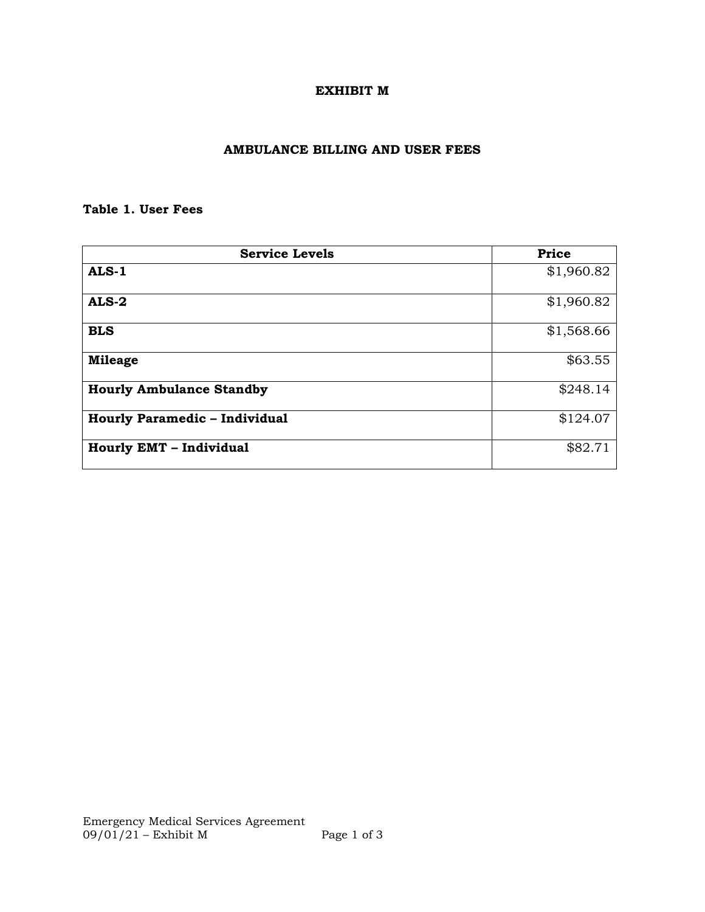## **EXHIBIT M**

## **AMBULANCE BILLING AND USER FEES**

## **Table 1. User Fees**

| <b>Service Levels</b>                | Price      |
|--------------------------------------|------------|
| ALS-1                                | \$1,960.82 |
| $ALS-2$                              | \$1,960.82 |
| <b>BLS</b>                           | \$1,568.66 |
| <b>Mileage</b>                       | \$63.55    |
| <b>Hourly Ambulance Standby</b>      | \$248.14   |
| <b>Hourly Paramedic - Individual</b> | \$124.07   |
| <b>Hourly EMT - Individual</b>       | \$82.71    |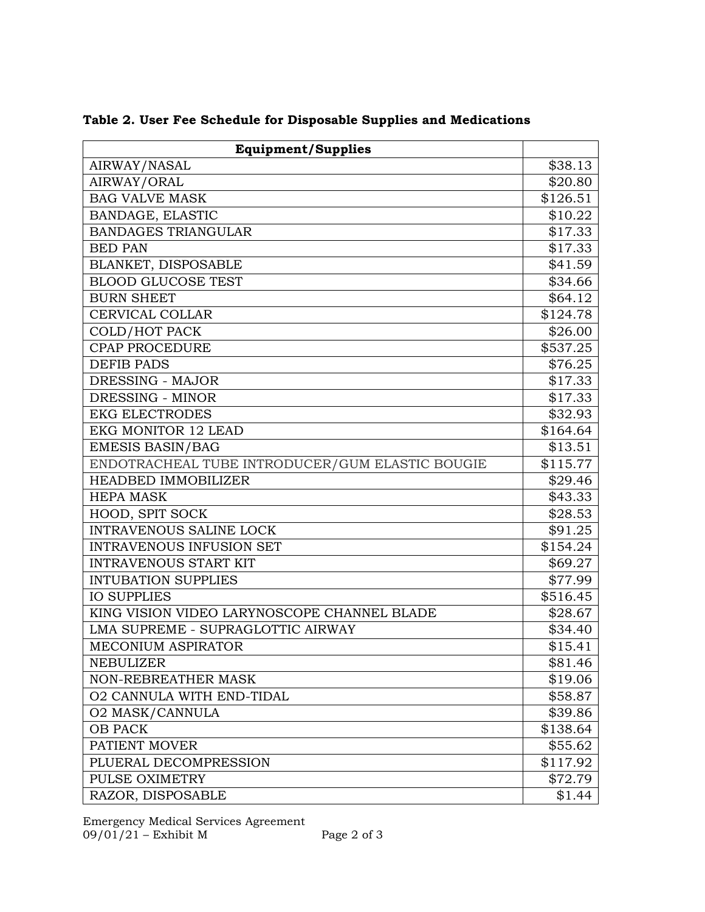| <b>Equipment/Supplies</b>                       |          |
|-------------------------------------------------|----------|
| AIRWAY/NASAL                                    | \$38.13  |
| AIRWAY/ORAL                                     | \$20.80  |
| <b>BAG VALVE MASK</b>                           | \$126.51 |
| BANDAGE, ELASTIC                                | \$10.22  |
| <b>BANDAGES TRIANGULAR</b>                      | \$17.33  |
| <b>BED PAN</b>                                  | \$17.33  |
| BLANKET, DISPOSABLE                             | \$41.59  |
| <b>BLOOD GLUCOSE TEST</b>                       | \$34.66  |
| <b>BURN SHEET</b>                               | \$64.12  |
| <b>CERVICAL COLLAR</b>                          | \$124.78 |
| <b>COLD/HOT PACK</b>                            | \$26.00  |
| <b>CPAP PROCEDURE</b>                           | \$537.25 |
| <b>DEFIB PADS</b>                               | \$76.25  |
| DRESSING - MAJOR                                | \$17.33  |
| DRESSING - MINOR                                | \$17.33  |
| <b>EKG ELECTRODES</b>                           | \$32.93  |
| <b>EKG MONITOR 12 LEAD</b>                      | \$164.64 |
| <b>EMESIS BASIN/BAG</b>                         | \$13.51  |
| ENDOTRACHEAL TUBE INTRODUCER/GUM ELASTIC BOUGIE | \$115.77 |
| <b>HEADBED IMMOBILIZER</b>                      | \$29.46  |
| <b>HEPA MASK</b>                                | \$43.33  |
| HOOD, SPIT SOCK                                 | \$28.53  |
| <b>INTRAVENOUS SALINE LOCK</b>                  | \$91.25  |
| <b>INTRAVENOUS INFUSION SET</b>                 | \$154.24 |
| <b>INTRAVENOUS START KIT</b>                    | \$69.27  |
| <b>INTUBATION SUPPLIES</b>                      | \$77.99  |
| <b>IO SUPPLIES</b>                              | \$516.45 |
| KING VISION VIDEO LARYNOSCOPE CHANNEL BLADE     | \$28.67  |
| LMA SUPREME - SUPRAGLOTTIC AIRWAY               | \$34.40  |
| <b>MECONIUM ASPIRATOR</b>                       | \$15.41  |
| <b>NEBULIZER</b>                                | \$81.46  |
| <b>NON-REBREATHER MASK</b>                      | \$19.06  |
| <b>O2 CANNULA WITH END-TIDAL</b>                | \$58.87  |
| <b>O2 MASK/CANNULA</b>                          | \$39.86  |
| <b>OB PACK</b>                                  | \$138.64 |
| PATIENT MOVER                                   | \$55.62  |
| PLUERAL DECOMPRESSION                           | \$117.92 |
| PULSE OXIMETRY                                  | \$72.79  |
| RAZOR, DISPOSABLE                               | \$1.44   |

**Table 2. User Fee Schedule for Disposable Supplies and Medications**